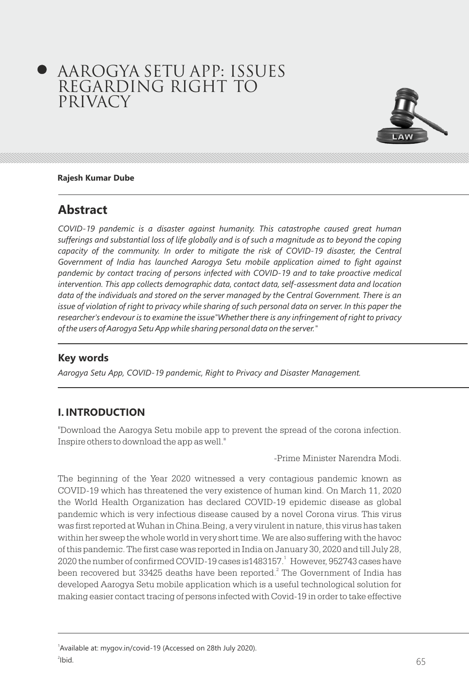# AAROGYA SETU APP: ISSUES REGARDING RIGHT TO PRIVACY



#### **Rajesh Kumar Dube**

## **Abstract**

*COVID-19 pandemic is a disaster against humanity. This catastrophe caused great human sufferings and substantial loss of life globally and is of such a magnitude as to beyond the coping*  capacity of the community. In order to mitigate the risk of COVID-19 disaster, the Central *Government of India has launched Aarogya Setu mobile application aimed to fight against pandemic by contact tracing of persons infected with COVID-19 and to take proactive medical intervention. This app collects demographic data, contact data, self-assessment data and location data of the individuals and stored on the server managed by the Central Government. There is an issue of violation of right to privacy while sharing of such personal data on server. In this paper the researcher's endevour is to examine the issue"Whether there is any infringement of right to privacy of the users of Aarogya Setu App while sharing personal data on the server."*

#### **Key words**

*Aarogya Setu App, COVID-19 pandemic, Right to Privacy and Disaster Management.* 

#### **I. INTRODUCTION**

"Download the Aarogya Setu mobile app to prevent the spread of the corona infection. Inspire others to download the app as well."

-Prime Minister Narendra Modi.

The beginning of the Year 2020 witnessed a very contagious pandemic known as COVID-19 which has threatened the very existence of human kind. On March 11, 2020 the World Health Organization has declared COVID-19 epidemic disease as global pandemic which is very infectious disease caused by a novel Corona virus. This virus was first reported at Wuhan in China.Being, a very virulent in nature, this virus has taken within her sweep the whole world in very short time. We are also suffering with the havoc of this pandemic. The first case was reported in India on January 30, 2020 and till July 28, 2020 the number of confirmed COVID-19 cases is 1483157.<sup>1</sup> However, 952743 cases have been recovered but 33425 deaths have been reported.<sup>2</sup> The Government of India has developed Aarogya Setu mobile application which is a useful technological solution for making easier contact tracing of persons infected with Covid-19 in order to take effective

<sup>&</sup>lt;sup>1</sup> Available at: mygov.in/covid-19 (Accessed on 28th July 2020).  $2$ lbid.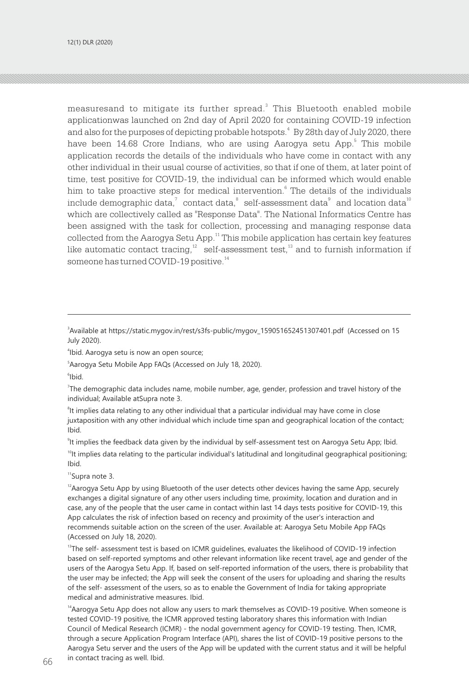measuresand to mitigate its further spread. $3$  This Bluetooth enabled mobile applicationwas launched on 2nd day of April 2020 for containing COVID-19 infection and also for the purposes of depicting probable hotspots.<sup>4</sup> By 28th day of July 2020, there have been 14.68 Crore Indians, who are using Aarogya setu App.<sup>5</sup> This mobile application records the details of the individuals who have come in contact with any other individual in their usual course of activities, so that if one of them, at later point of time, test positive for COVID-19, the individual can be informed which would enable him to take proactive steps for medical intervention.<sup>6</sup> The details of the individuals include demographic data, $^7\;$  contact data, $^8\;$  self-assessment data $^9\;$  and location data $^{10}\;$ which are collectively called as "Response Data". The National Informatics Centre has been assigned with the task for collection, processing and managing response data collected from the Aarogya Setu App.<sup>11</sup> This mobile application has certain key features like automatic contact tracing, $12$  self-assessment test, $13$  and to furnish information if someone has turned COVID-19 positive.<sup>14</sup>

3 Available at https://static.mygov.in/rest/s3fs-public/mygov\_159051652451307401.pdf (Accessed on 15 July 2020).

4 Ibid. Aarogya setu is now an open source;

5 Aarogya Setu Mobile App FAQs (Accessed on July 18, 2020).

6 Ibid.

7 The demographic data includes name, mobile number, age, gender, profession and travel history of the individual; Available atSupra note 3.

<sup>8</sup>It implies data relating to any other individual that a particular individual may have come in close juxtaposition with any other individual which include time span and geographical location of the contact; Ibid.

9 It implies the feedback data given by the individual by self-assessment test on Aarogya Setu App; Ibid.

 $10$ It implies data relating to the particular individual's latitudinal and longitudinal geographical positioning; Ibid.

<sup>11</sup>Supra note 3.

 $12A$ arogya Setu App by using Bluetooth of the user detects other devices having the same App, securely exchanges a digital signature of any other users including time, proximity, location and duration and in case, any of the people that the user came in contact within last 14 days tests positive for COVID-19, this App calculates the risk of infection based on recency and proximity of the user's interaction and recommends suitable action on the screen of the user. Available at: Aarogya Setu Mobile App FAQs (Accessed on July 18, 2020).

<sup>13</sup>The self- assessment test is based on ICMR guidelines, evaluates the likelihood of COVID-19 infection based on self-reported symptoms and other relevant information like recent travel, age and gender of the users of the Aarogya Setu App. If, based on self-reported information of the users, there is probability that the user may be infected; the App will seek the consent of the users for uploading and sharing the results of the self- assessment of the users, so as to enable the Government of India for taking appropriate medical and administrative measures. Ibid.

<sup>14</sup> Aarogya Setu App does not allow any users to mark themselves as COVID-19 positive. When someone is tested COVID-19 positive, the ICMR approved testing laboratory shares this information with Indian Council of Medical Research (ICMR) - the nodal government agency for COVID-19 testing. Then, ICMR, through a secure Application Program Interface (API), shares the list of COVID-19 positive persons to the Aarogya Setu server and the users of the App will be updated with the current status and it will be helpful in contact tracing as well. Ibid.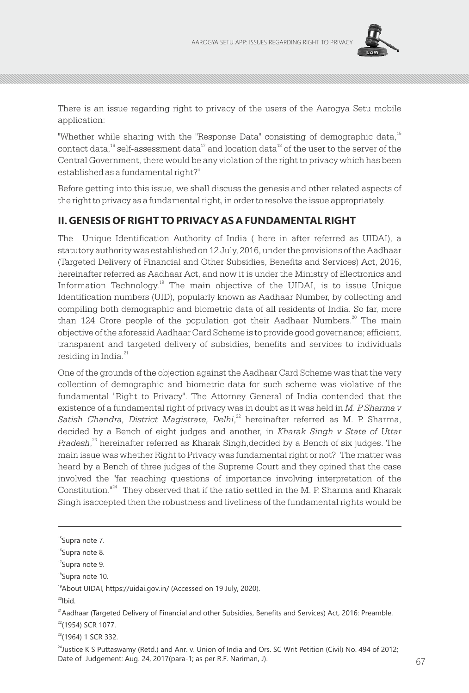

There is an issue regarding right to privacy of the users of the Aarogya Setu mobile application:

"Whether while sharing with the "Response Data" consisting of demographic data,<sup>15</sup> contact data,<sup>16</sup> self-assessment data<sup>17</sup> and location data<sup>18</sup> of the user to the server of the Central Government, there would be any violation of the right to privacy which has been established as a fundamental right?"

Before getting into this issue, we shall discuss the genesis and other related aspects of the right to privacy as a fundamental right, in order to resolve the issue appropriately.

#### **II. GENESIS OF RIGHT TO PRIVACY AS A FUNDAMENTAL RIGHT**

The Unique Identification Authority of India ( here in after referred as UIDAI), a statutory authority was established on 12 July, 2016, under the provisions of the Aadhaar (Targeted Delivery of Financial and Other Subsidies, Benefits and Services) Act, 2016, hereinafter referred as Aadhaar Act, and now it is under the Ministry of Electronics and Information Technology.<sup>19</sup> The main objective of the UIDAI, is to issue Unique Identification numbers (UID), popularly known as Aadhaar Number, by collecting and compiling both demographic and biometric data of all residents of India. So far, more than 124 Crore people of the population got their Aadhaar Numbers.<sup>20</sup> The main objective of the aforesaid Aadhaar Card Scheme is to provide good governance; efficient, transparent and targeted delivery of subsidies, benefits and services to individuals residing in India. $^{21}$ 

One of the grounds of the objection against the Aadhaar Card Scheme was that the very collection of demographic and biometric data for such scheme was violative of the fundamental "Right to Privacy". The Attorney General of India contended that the existence of a fundamental right of privacy was in doubt as it was held in *M. P. Sharma v*  Satish Chandra, District Magistrate, Delhi,<sup>22</sup> hereinafter referred as M. P. Sharma, decided by a Bench of eight judges and another, in *Kharak Singh v State of Uttar Pradesh*,<sup>23</sup> hereinafter referred as Kharak Singh, decided by a Bench of six judges. The main issue was whether Right to Privacy was fundamental right or not? The matter was heard by a Bench of three judges of the Supreme Court and they opined that the case involved the "far reaching questions of importance involving interpretation of the Constitution. $"^{24}$  They observed that if the ratio settled in the M. P. Sharma and Kharak Singh isaccepted then the robustness and liveliness of the fundamental rights would be

 $^{24}$ Justice K S Puttaswamy (Retd.) and Anr. v. Union of India and Ors. SC Writ Petition (Civil) No. 494 of 2012; Date of Judgement: Aug. 24, 2017(para-1; as per R.F. Nariman, J).

<sup>&</sup>lt;sup>15</sup>Supra note 7.

<sup>&</sup>lt;sup>16</sup>Supra note 8.

<sup>&</sup>lt;sup>17</sup>Supra note 9.

<sup>&</sup>lt;sup>18</sup>Supra note 10.

<sup>19</sup>About UIDAI, https://uidai.gov.in/ (Accessed on 19 July, 2020).

 $20$ Ibid.

<sup>&</sup>lt;sup>21</sup>Aadhaar (Targeted Delivery of Financial and other Subsidies, Benefits and Services) Act, 2016: Preamble.  $22$ (1954) SCR 1077.

<sup>&</sup>lt;sup>23</sup>(1964) 1 SCR 332.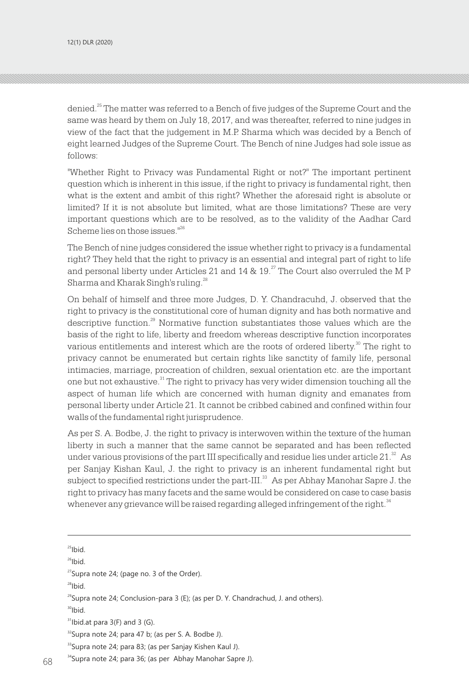denied.<sup>25</sup> The matter was referred to a Bench of five judges of the Supreme Court and the same was heard by them on July 18, 2017, and was thereafter, referred to nine judges in view of the fact that the judgement in M.P. Sharma which was decided by a Bench of eight learned Judges of the Supreme Court. The Bench of nine Judges had sole issue as follows:

"Whether Right to Privacy was Fundamental Right or not?" The important pertinent question which is inherent in this issue, if the right to privacy is fundamental right, then what is the extent and ambit of this right? Whether the aforesaid right is absolute or limited? If it is not absolute but limited, what are those limitations? These are very important questions which are to be resolved, as to the validity of the Aadhar Card Scheme lies on those issues."<sup>26</sup>

The Bench of nine judges considered the issue whether right to privacy is a fundamental right? They held that the right to privacy is an essential and integral part of right to life and personal liberty under Articles 21 and 14  $\&$  19.<sup>27</sup> The Court also overruled the M P Sharma and Kharak Singh's ruling.<sup>28</sup>

On behalf of himself and three more Judges, D. Y. Chandracuhd, J. observed that the right to privacy is the constitutional core of human dignity and has both normative and descriptive function.<sup>29</sup> Normative function substantiates those values which are the basis of the right to life, liberty and freedom whereas descriptive function incorporates various entitlements and interest which are the roots of ordered liberty. $\mathrm{^{30}}$  The right to privacy cannot be enumerated but certain rights like sanctity of family life, personal intimacies, marriage, procreation of children, sexual orientation etc. are the important one but not exhaustive.<sup>31</sup> The right to privacy has very wider dimension touching all the aspect of human life which are concerned with human dignity and emanates from personal liberty under Article 21. It cannot be cribbed cabined and confined within four walls of the fundamental right jurisprudence.

As per S. A. Bodbe, J. the right to privacy is interwoven within the texture of the human liberty in such a manner that the same cannot be separated and has been reflected under various provisions of the part III specifically and residue lies under article  $21.^{\text{22}}$  As per Sanjay Kishan Kaul, J. the right to privacy is an inherent fundamental right but subject to specified restrictions under the part-III.<sup>33</sup> As per Abhay Manohar Sapre J. the right to privacy has many facets and the same would be considered on case to case basis whenever any grievance will be raised regarding alleged infringement of the right. $34$ 

 $25$ Ibid.

<sup>26</sup>Ibid.

<sup>27</sup>Supra note 24; (page no. 3 of the Order).

 $28$ Ibid.

 $^{29}$ Supra note 24; Conclusion-para 3 (E); (as per D. Y. Chandrachud, J. and others).

 $30$ Ibid.

 $31$ Ibid.at para  $3(F)$  and  $3(G)$ .

<sup>34</sup>Supra note 24; para 36; (as per Abhay Manohar Sapre J).

 $32$ Supra note 24; para 47 b; (as per S. A. Bodbe J).

<sup>&</sup>lt;sup>33</sup>Supra note 24; para 83; (as per Sanjay Kishen Kaul J).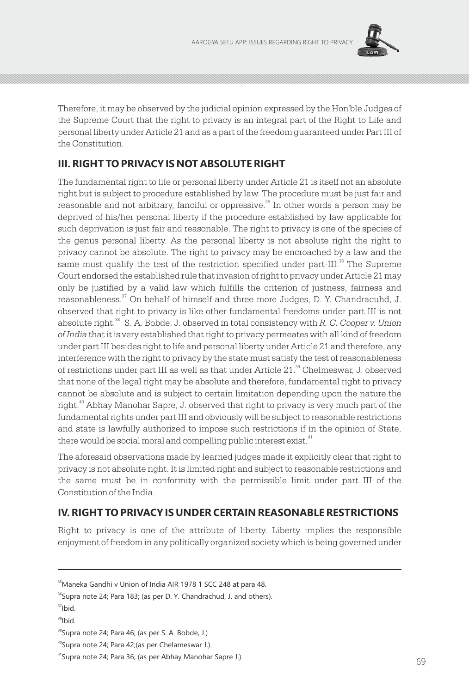

Therefore, it may be observed by the judicial opinion expressed by the Hon'ble Judges of the Supreme Court that the right to privacy is an integral part of the Right to Life and personal liberty under Article 21 and as a part of the freedom guaranteed under Part III of the Constitution.

## **III. RIGHT TO PRIVACY IS NOT ABSOLUTE RIGHT**

The fundamental right to life or personal liberty under Article 21 is itself not an absolute right but is subject to procedure established by law. The procedure must be just fair and reasonable and not arbitrary, fanciful or oppressive. $^{35}$  In other words a person may be deprived of his/her personal liberty if the procedure established by law applicable for such deprivation is just fair and reasonable. The right to privacy is one of the species of the genus personal liberty. As the personal liberty is not absolute right the right to privacy cannot be absolute. The right to privacy may be encroached by a law and the same must qualify the test of the restriction specified under part-III. $^{36}$  The Supreme Court endorsed the established rule that invasion of right to privacy under Article 21 may only be justified by a valid law which fulfills the criterion of justness, fairness and reasonableness. $\frac{37}{7}$  On behalf of himself and three more Judges, D. Y. Chandracuhd, J. observed that right to privacy is like other fundamental freedoms under part III is not absolute right.<sup>38</sup> S. A. Bobde, J. observed in total consistency with R. C. Cooper v. Union *of India* that it is very established that right to privacy permeates with all kind of freedom under part III besides right to life and personal liberty under Article 21 and therefore, any interference with the right to privacy by the state must satisfy the test of reasonableness of restrictions under part III as well as that under Article 21.<sup>39</sup> Chelmeswar, J. observed that none of the legal right may be absolute and therefore, fundamental right to privacy cannot be absolute and is subject to certain limitation depending upon the nature the right. $40$  Abhay Manohar Sapre, J. observed that right to privacy is very much part of the fundamental rights under part III and obviously will be subject to reasonable restrictions and state is lawfully authorized to impose such restrictions if in the opinion of State, there would be social moral and compelling public interest exist.<sup>41</sup>

The aforesaid observations made by learned judges made it explicitly clear that right to privacy is not absolute right. It is limited right and subject to reasonable restrictions and the same must be in conformity with the permissible limit under part III of the Constitution of the India.

## **IV. RIGHT TO PRIVACY IS UNDER CERTAIN REASONABLE RESTRICTIONS**

Right to privacy is one of the attribute of liberty. Liberty implies the responsible enjoyment of freedom in any politically organized society which is being governed under

<sup>&</sup>lt;sup>35</sup>Maneka Gandhi v Union of India AIR 1978 1 SCC 248 at para 48.

<sup>&</sup>lt;sup>36</sup>Supra note 24; Para 183; (as per D. Y. Chandrachud, J. and others).

 $37$ Ibid

<sup>38</sup>Ibid.

<sup>&</sup>lt;sup>39</sup>Supra note 24; Para 46; (as per S. A. Bobde, J.)

<sup>40</sup>Supra note 24; Para 42;(as per Chelameswar J.).

<sup>41</sup>Supra note 24; Para 36; (as per Abhay Manohar Sapre J.).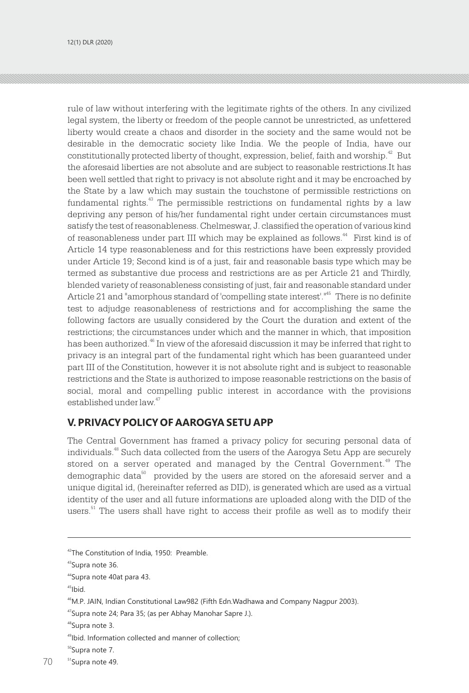rule of law without interfering with the legitimate rights of the others. In any civilized legal system, the liberty or freedom of the people cannot be unrestricted, as unfettered liberty would create a chaos and disorder in the society and the same would not be desirable in the democratic society like India. We the people of India, have our constitutionally protected liberty of thought, expression, belief, faith and worship.  $42$  But the aforesaid liberties are not absolute and are subject to reasonable restrictions.It has been well settled that right to privacy is not absolute right and it may be encroached by the State by a law which may sustain the touchstone of permissible restrictions on fundamental rights. $43$  The permissible restrictions on fundamental rights by a law depriving any person of his/her fundamental right under certain circumstances must satisfy the test of reasonableness. Chelmeswar, J. classified the operation of various kind of reasonableness under part III which may be explained as follows.<sup>44</sup> First kind is of Article 14 type reasonableness and for this restrictions have been expressly provided under Article 19; Second kind is of a just, fair and reasonable basis type which may be termed as substantive due process and restrictions are as per Article 21 and Thirdly, blended variety of reasonableness consisting of just, fair and reasonable standard under Article 21 and "amorphous standard of 'compelling state interest'."<sup>45</sup> There is no definite test to adjudge reasonableness of restrictions and for accomplishing the same the following factors are usually considered by the Court the duration and extent of the restrictions; the circumstances under which and the manner in which, that imposition has been authorized.<sup>46</sup> In view of the aforesaid discussion it may be inferred that right to privacy is an integral part of the fundamental right which has been guaranteed under part III of the Constitution, however it is not absolute right and is subject to reasonable restrictions and the State is authorized to impose reasonable restrictions on the basis of social, moral and compelling public interest in accordance with the provisions established under law. 47

#### **V. PRIVACY POLICY OF AAROGYA SETU APP**

The Central Government has framed a privacy policy for securing personal data of individuals.<sup>48</sup> Such data collected from the users of the Aarogya Setu App are securely stored on a server operated and managed by the Central Government.<sup>49</sup> The demographic data $^{50}$  provided by the users are stored on the aforesaid server and a unique digital id, (hereinafter referred as DID), is generated which are used as a virtual identity of the user and all future informations are uploaded along with the DID of the users. $51$  The users shall have right to access their profile as well as to modify their

 $45$ Ibid.

<sup>&</sup>lt;sup>42</sup>The Constitution of India, 1950: Preamble.

<sup>43</sup>Supra note 36.

<sup>44</sup>Supra note 40at para 43.

<sup>&</sup>lt;sup>46</sup>M.P. JAIN, Indian Constitutional Law982 (Fifth Edn.Wadhawa and Company Nagpur 2003).

<sup>&</sup>lt;sup>47</sup>Supra note 24; Para 35; (as per Abhay Manohar Sapre J.).

<sup>&</sup>lt;sup>48</sup>Supra note 3.

<sup>49</sup>Ibid. Information collected and manner of collection;

<sup>&</sup>lt;sup>50</sup>Supra note 7.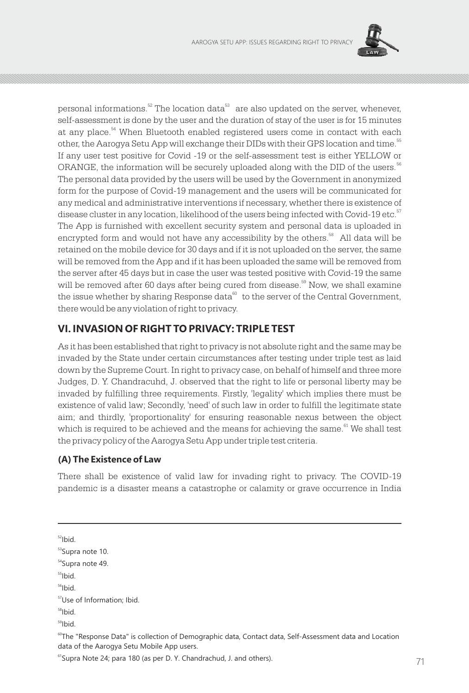

personal informations. $5^{\circ}$  The location data $^{53}$  are also updated on the server, whenever, self-assessment is done by the user and the duration of stay of the user is for 15 minutes at any place.<sup>54</sup> When Bluetooth enabled registered users come in contact with each other, the Aarogya Setu App will exchange their DIDs with their GPS location and time. 55 If any user test positive for Covid -19 or the self-assessment test is either YELLOW or ORANGE, the information will be securely uploaded along with the DID of the users. $56$ The personal data provided by the users will be used by the Government in anonymized form for the purpose of Covid-19 management and the users will be communicated for any medical and administrative interventions if necessary, whether there is existence of disease cluster in any location, likelihood of the users being infected with Covid-19 etc.<sup>57</sup> The App is furnished with excellent security system and personal data is uploaded in encrypted form and would not have any accessibility by the others. $\mathbb{S}^8$  All data will be retained on the mobile device for 30 days and if it is not uploaded on the server, the same will be removed from the App and if it has been uploaded the same will be removed from the server after 45 days but in case the user was tested positive with Covid-19 the same will be removed after 60 days after being cured from disease.<sup>59</sup> Now, we shall examine the issue whether by sharing Response data  $\infty$  to the server of the Central Government, there would be any violation of right to privacy.

### **VI. INVASION OF RIGHT TO PRIVACY: TRIPLE TEST**

As it has been established that right to privacy is not absolute right and the same may be invaded by the State under certain circumstances after testing under triple test as laid down by the Supreme Court. In right to privacy case, on behalf of himself and three more Judges, D. Y. Chandracuhd, J. observed that the right to life or personal liberty may be invaded by fulfilling three requirements. Firstly, 'legality' which implies there must be existence of valid law; Secondly, 'need' of such law in order to fulfill the legitimate state aim; and thirdly, 'proportionality' for ensuring reasonable nexus between the object which is required to be achieved and the means for achieving the same.  $61^{\circ}$  We shall test the privacy policy of the Aarogya Setu App under triple test criteria.

#### **(A) The Existence of Law**

There shall be existence of valid law for invading right to privacy. The COVID-19 pandemic is a disaster means a catastrophe or calamity or grave occurrence in India

 $52$ Ibid.

<sup>54</sup>Supra note 49.

```
55Ibid.
```
 $56$ Ibid.

```
<sup>57</sup>Use of Information; Ibid.
```
- $58$ Ibid.
- <sup>59</sup>Ibid.

 $^{60}$ The "Response Data" is collection of Demographic data, Contact data, Self-Assessment data and Location data of the Aarogya Setu Mobile App users.

<sup>53</sup>Supra note 10.

 $<sup>61</sup>$ Supra Note 24; para 180 (as per D. Y. Chandrachud, J. and others).</sup>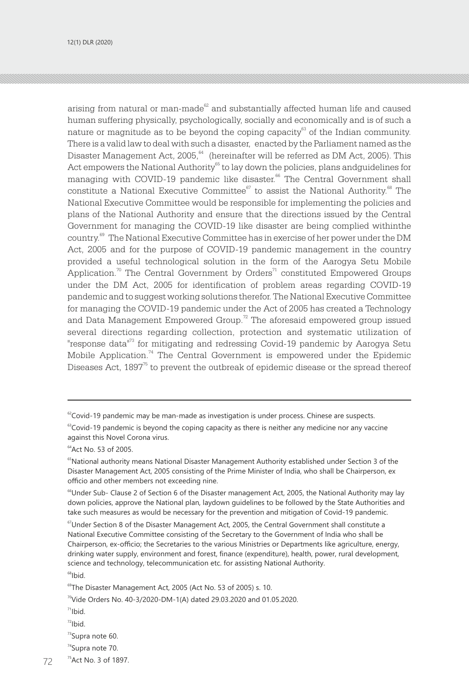arising from natural or man-made $^{62}$  and substantially affected human life and caused human suffering physically, psychologically, socially and economically and is of such a nature or magnitude as to be beyond the coping capacity $^\text{\tiny{63}}$  of the Indian community. There is a valid law to deal with such a disaster, enacted by the Parliament named as the Disaster Management Act,  $2005$ ,  $64$  (hereinafter will be referred as DM Act,  $2005$ ). This Act empowers the National Authority<sup>65</sup> to lay down the policies, plans andguidelines for managing with COVID-19 pandemic like disaster.<sup>66</sup> The Central Government shall constitute a National Executive Committee $\degree$  to assist the National Authority. $\degree$  The National Executive Committee would be responsible for implementing the policies and plans of the National Authority and ensure that the directions issued by the Central Government for managing the COVID-19 like disaster are being complied withinthe country.<sup>69</sup> The National Executive Committee has in exercise of her power under the DM Act, 2005 and for the purpose of COVID-19 pandemic management in the country provided a useful technological solution in the form of the Aarogya Setu Mobile Application.<sup>70</sup> The Central Government by Orders<sup>71</sup> constituted Empowered Groups under the DM Act, 2005 for identification of problem areas regarding COVID-19 pandemic and to suggest working solutions therefor. The National Executive Committee for managing the COVID-19 pandemic under the Act of 2005 has created a Technology and Data Management Empowered Group.<sup> $\frac{72}{2}$ </sup> The aforesaid empowered group issued several directions regarding collection, protection and systematic utilization of "response data"<sup>73</sup> for mitigating and redressing Covid-19 pandemic by Aarogya Setu Mobile Application.<sup>74</sup> The Central Government is empowered under the Epidemic Diseases Act,  $1897^{\text{\tiny{\textup{T}}}}$  to prevent the outbreak of epidemic disease or the spread thereof

 $68$ Ibid.

- $71$ Ibid.
- $10^{27}$

 $62$ Covid-19 pandemic may be man-made as investigation is under process. Chinese are suspects.

 $63$ Covid-19 pandemic is beyond the coping capacity as there is neither any medicine nor any vaccine against this Novel Corona virus.

<sup>64</sup>Act No. 53 of 2005.

<sup>&</sup>lt;sup>65</sup>National authority means National Disaster Management Authority established under Section 3 of the Disaster Management Act, 2005 consisting of the Prime Minister of India, who shall be Chairperson, ex officio and other members not exceeding nine.

<sup>&</sup>lt;sup>66</sup>Under Sub- Clause 2 of Section 6 of the Disaster management Act, 2005, the National Authority may lay down policies, approve the National plan, laydown guidelines to be followed by the State Authorities and take such measures as would be necessary for the prevention and mitigation of Covid-19 pandemic.

<sup>&</sup>lt;sup>67</sup>Under Section 8 of the Disaster Management Act, 2005, the Central Government shall constitute a National Executive Committee consisting of the Secretary to the Government of India who shall be Chairperson, ex-officio; the Secretaries to the various Ministries or Departments like agriculture, energy, drinking water supply, environment and forest, finance (expenditure), health, power, rural development, science and technology, telecommunication etc. for assisting National Authority.

<sup>&</sup>lt;sup>69</sup>The Disaster Management Act, 2005 (Act No. 53 of 2005) s. 10.

<sup>&</sup>lt;sup>70</sup>Vide Orders No. 40-3/2020-DM-1(A) dated 29.03.2020 and 01.05.2020.

<sup>&</sup>lt;sup>73</sup>Supra note 60.

<sup>&</sup>lt;sup>74</sup>Supra note 70.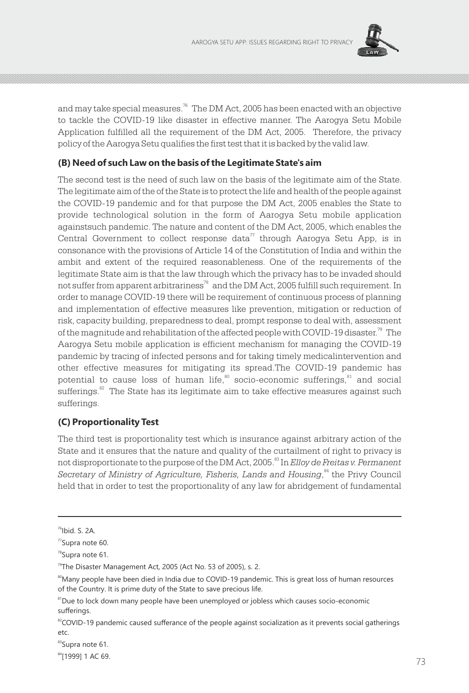

and may take special measures.<sup>76</sup> The DM Act, 2005 has been enacted with an objective to tackle the COVID-19 like disaster in effective manner. The Aarogya Setu Mobile Application fulfilled all the requirement of the DM Act, 2005. Therefore, the privacy policy of the Aarogya Setu qualifies the first test that it is backed by the valid law.

#### **(B) Need of such Law on the basis of the Legitimate State's aim**

The second test is the need of such law on the basis of the legitimate aim of the State. The legitimate aim of the of the State is to protect the life and health of the people against the COVID-19 pandemic and for that purpose the DM Act, 2005 enables the State to provide technological solution in the form of Aarogya Setu mobile application againstsuch pandemic. The nature and content of the DM Act, 2005, which enables the Central Government to collect response data<sup>77</sup> through Aarogya Setu App, is in consonance with the provisions of Article 14 of the Constitution of India and within the ambit and extent of the required reasonableness. One of the requirements of the legitimate State aim is that the law through which the privacy has to be invaded should not suffer from apparent arbitrariness $n^8$  and the DM Act, 2005 fulfill such requirement. In order to manage COVID-19 there will be requirement of continuous process of planning and implementation of effective measures like prevention, mitigation or reduction of risk, capacity building, preparedness to deal, prompt response to deal with, assessment of the magnitude and rehabilitation of the affected people with COVID-19 disaster.<sup>79</sup> The Aarogya Setu mobile application is efficient mechanism for managing the COVID-19 pandemic by tracing of infected persons and for taking timely medicalintervention and other effective measures for mitigating its spread.The COVID-19 pandemic has potential to cause loss of human life,<sup>80</sup> socio-economic sufferings, $81$  and social sufferings. $^{\text{az}}$  The State has its legitimate aim to take effective measures against such sufferings.

#### **(C) Proportionality Test**

The third test is proportionality test which is insurance against arbitrary action of the State and it ensures that the nature and quality of the curtailment of right to privacy is not disproportionate to the purpose of the DM Act, 2005.<sup>83</sup> In *Elloy de Freitas v. Permanent Secretary of Ministry of Agriculture, Fisheris, Lands and Housing*,<sup>84</sup> the Privy Council held that in order to test the proportionality of any law for abridgement of fundamental

83Supra note 61.

 $<sup>76</sup>$ Ibid. S. 2A.</sup>

 $\mathrm{^{77}S}$ upra note 60.

<sup>78</sup>Supra note 61.

<sup>&</sup>lt;sup>79</sup>The Disaster Management Act, 2005 (Act No. 53 of 2005), s. 2.

<sup>&</sup>lt;sup>80</sup>Many people have been died in India due to COVID-19 pandemic. This is great loss of human resources of the Country. It is prime duty of the State to save precious life.

<sup>&</sup>lt;sup>81</sup>Due to lock down many people have been unemployed or jobless which causes socio-economic sufferings.

<sup>&</sup>lt;sup>82</sup>COVID-19 pandemic caused sufferance of the people against socialization as it prevents social gatherings etc.

<sup>84[1999] 1</sup> AC 69.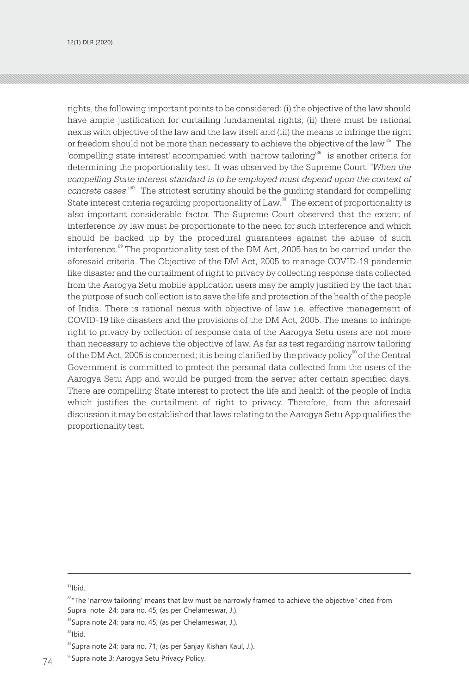rights, the following important points to be considered: (i) the objective of the law should have ample justification for curtailing fundamental rights; (ii) there must be rational nexus with objective of the law and the law itself and (iii) the means to infringe the right or freedom should not be more than necessary to achieve the objective of the law.<sup>85</sup> The 'compelling state interest' accompanied with 'narrow tailoring'<sup>66</sup> is another criteria for determining the proportionality test. It was observed by the Supreme Court: *"When the compelling State interest standard is to be employed must depend upon the context of concrete cases.*" The strictest scrutiny should be the quiding standard for compelling State interest criteria regarding proportionality of Law.<sup>88</sup> The extent of proportionality is also important considerable factor. The Supreme Court observed that the extent of interference by law must be proportionate to the need for such interference and which should be backed up by the procedural guarantees against the abuse of such interference.<sup>89</sup> The proportionality test of the DM Act, 2005 has to be carried under the aforesaid criteria. The Objective of the DM Act, 2005 to manage COVID-19 pandemic like disaster and the curtailment of right to privacy by collecting response data collected from the Aarogya Setu mobile application users may be amply justified by the fact that the purpose of such collection is to save the life and protection of the health of the people of India. There is rational nexus with objective of law i.e. effective management of COVID-19 like disasters and the provisions of the DM Act, 2005. The means to infringe right to privacy by collection of response data of the Aarogya Setu users are not more than necessary to achieve the objective of law. As far as test regarding narrow tailoring of the DM Act, 2005 is concerned; it is being clarified by the privacy policy<sup>90</sup> of the Central Government is committed to protect the personal data collected from the users of the Aarogya Setu App and would be purged from the server after certain specified days. There are compelling State interest to protect the life and health of the people of India which justifies the curtailment of right to privacy. Therefore, from the aforesaid discussion it may be established that laws relating to the Aarogya Setu App qualifies the proportionality test.

<sup>85</sup>Ibid.

87Supra note 24; para no. 45; (as per Chelameswar, J.).

<sup>86&</sup>quot;The 'narrow tailoring' means that law must be narrowly framed to achieve the objective" cited from Supra note 24; para no. 45; (as per Chelameswar, J.).

<sup>&</sup>lt;sup>88</sup>Ibid.

<sup>&</sup>lt;sup>89</sup>Supra note 24; para no. 71; (as per Sanjay Kishan Kaul, J.).

<sup>&</sup>lt;sup>90</sup>Supra note 3; Aarogya Setu Privacy Policy.